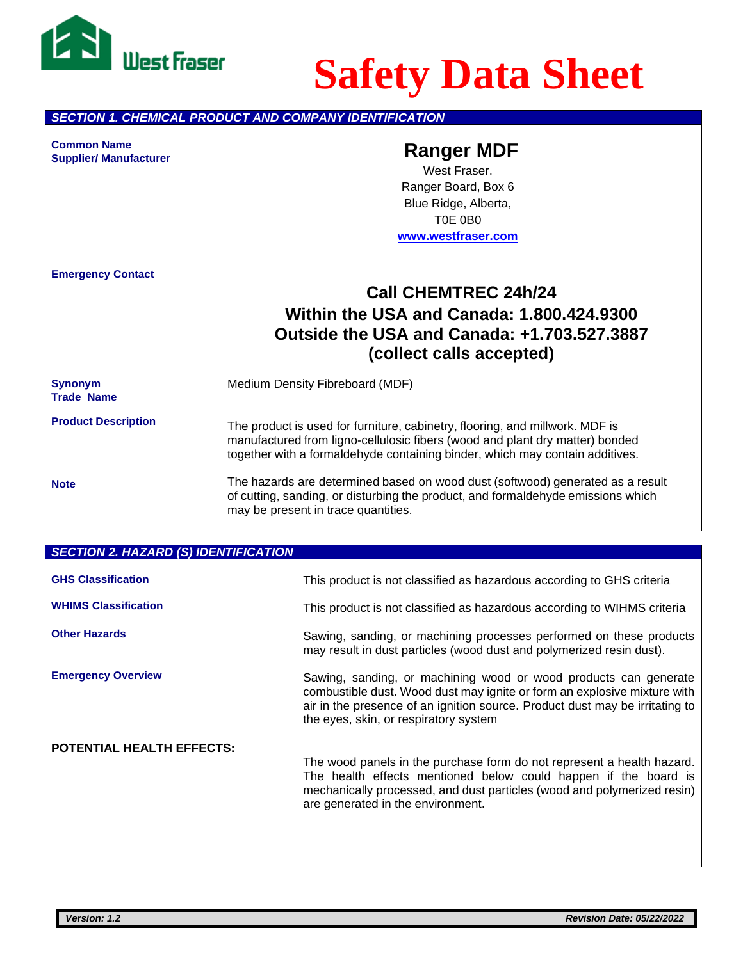

# **Safety Data Sheet**

*SECTION 1. CHEMICAL PRODUCT AND COMPANY IDENTIFICATION*

**Common Name Ranger MDF Supplier/ Manufacturer**

West Fraser. Ranger Board, Box 6 Blue Ridge, Alberta, T0E 0B0 **[www.westfraser.com](http://www.westfraser.com/)**

**Emergency Contact**

# **Call CHEMTREC 24h/24 Within the USA and Canada: 1.800.424.9300 Outside the USA and Canada: +1.703.527.3887 (collect calls accepted)**

**Synonym** Medium Density Fibreboard (MDF) **Trade Name**

**Product Description**

The product is used for furniture, cabinetry, flooring, and millwork. MDF is manufactured from ligno-cellulosic fibers (wood and plant dry matter) bonded together with a formaldehyde containing binder, which may contain additives.

**Note**

The hazards are determined based on wood dust (softwood) generated as a result of cutting, sanding, or disturbing the product, and formaldehyde emissions which may be present in trace quantities.

# *SECTION 2. HAZARD (S) IDENTIFICATION* **GHS Classification** This product is not classified as hazardous according to GHS criteria **WHIMS Classification** This product is not classified as hazardous according to WIHMS criteria **Other Hazards** Sawing, sanding, or machining processes performed on these products may result in dust particles (wood dust and polymerized resin dust). **Emergency Overview Sawing, sanding, or machining wood or wood products can generate** combustible dust. Wood dust may ignite or form an explosive mixture with air in the presence of an ignition source. Product dust may be irritating to the eyes, skin, or respiratory system

**POTENTIAL HEALTH EFFECTS:**

The wood panels in the purchase form do not represent a health hazard. The health effects mentioned below could happen if the board is mechanically processed, and dust particles (wood and polymerized resin) are generated in the environment.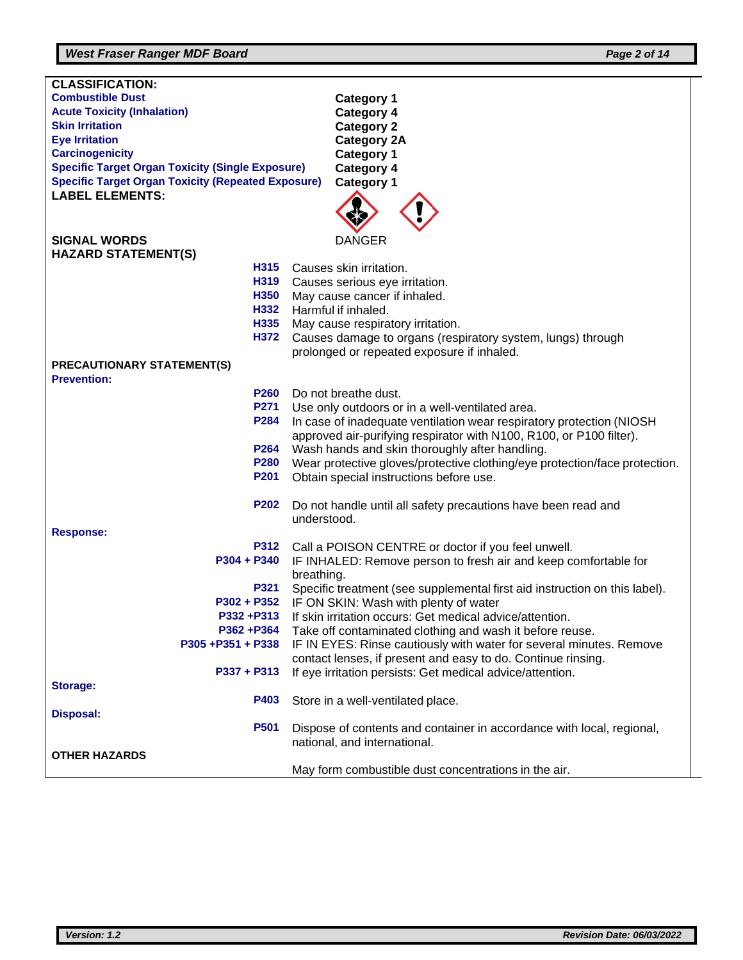# *West Fraser Ranger MDF Board Page 2 of 14*

| <b>CLASSIFICATION:</b>                                                            |                                                                              |  |
|-----------------------------------------------------------------------------------|------------------------------------------------------------------------------|--|
| <b>Combustible Dust</b>                                                           | <b>Category 1</b>                                                            |  |
| <b>Acute Toxicity (Inhalation)</b>                                                | <b>Category 4</b>                                                            |  |
| <b>Skin Irritation</b>                                                            | <b>Category 2</b>                                                            |  |
| <b>Eye Irritation</b>                                                             | <b>Category 2A</b>                                                           |  |
| <b>Carcinogenicity</b><br><b>Specific Target Organ Toxicity (Single Exposure)</b> | <b>Category 1</b>                                                            |  |
| <b>Specific Target Organ Toxicity (Repeated Exposure)</b>                         | <b>Category 4</b><br><b>Category 1</b>                                       |  |
| <b>LABEL ELEMENTS:</b>                                                            |                                                                              |  |
|                                                                                   |                                                                              |  |
| <b>SIGNAL WORDS</b>                                                               | <b>DANGER</b>                                                                |  |
| <b>HAZARD STATEMENT(S)</b><br>H315                                                | Causes skin irritation.                                                      |  |
| H319                                                                              | Causes serious eye irritation.                                               |  |
| H <sub>350</sub>                                                                  | May cause cancer if inhaled.                                                 |  |
| H332                                                                              | Harmful if inhaled.                                                          |  |
| H335                                                                              | May cause respiratory irritation.                                            |  |
| H372                                                                              | Causes damage to organs (respiratory system, lungs) through                  |  |
|                                                                                   | prolonged or repeated exposure if inhaled.                                   |  |
| <b>PRECAUTIONARY STATEMENT(S)</b>                                                 |                                                                              |  |
| <b>Prevention:</b>                                                                |                                                                              |  |
| P <sub>260</sub>                                                                  | Do not breathe dust.                                                         |  |
| P271                                                                              | Use only outdoors or in a well-ventilated area.                              |  |
|                                                                                   | P284<br>In case of inadequate ventilation wear respiratory protection (NIOSH |  |
| approved air-purifying respirator with N100, R100, or P100 filter).               |                                                                              |  |
| P264<br>Wash hands and skin thoroughly after handling.                            |                                                                              |  |
| <b>P280</b>                                                                       | Wear protective gloves/protective clothing/eye protection/face protection.   |  |
| P201<br>Obtain special instructions before use.                                   |                                                                              |  |
| <b>P202</b>                                                                       | Do not handle until all safety precautions have been read and                |  |
|                                                                                   | understood.                                                                  |  |
| <b>Response:</b>                                                                  |                                                                              |  |
| P312                                                                              | Call a POISON CENTRE or doctor if you feel unwell.                           |  |
| P304 + P340                                                                       | IF INHALED: Remove person to fresh air and keep comfortable for              |  |
|                                                                                   | breathing.                                                                   |  |
| P321                                                                              | Specific treatment (see supplemental first aid instruction on this label).   |  |
|                                                                                   | P302 + P352 IF ON SKIN: Wash with plenty of water                            |  |
| P332+P313                                                                         | If skin irritation occurs: Get medical advice/attention.                     |  |
| P362+P364                                                                         | Take off contaminated clothing and wash it before reuse.                     |  |
| P305+P351+P338                                                                    | IF IN EYES: Rinse cautiously with water for several minutes. Remove          |  |
|                                                                                   | contact lenses, if present and easy to do. Continue rinsing.                 |  |
| $P337 + P313$                                                                     | If eye irritation persists: Get medical advice/attention.                    |  |
| <b>Storage:</b><br>P403                                                           |                                                                              |  |
| <b>Disposal:</b>                                                                  | Store in a well-ventilated place.                                            |  |
| P501                                                                              | Dispose of contents and container in accordance with local, regional,        |  |
|                                                                                   | national, and international.                                                 |  |
| <b>OTHER HAZARDS</b>                                                              |                                                                              |  |
|                                                                                   | May form combustible dust concentrations in the air.                         |  |
|                                                                                   |                                                                              |  |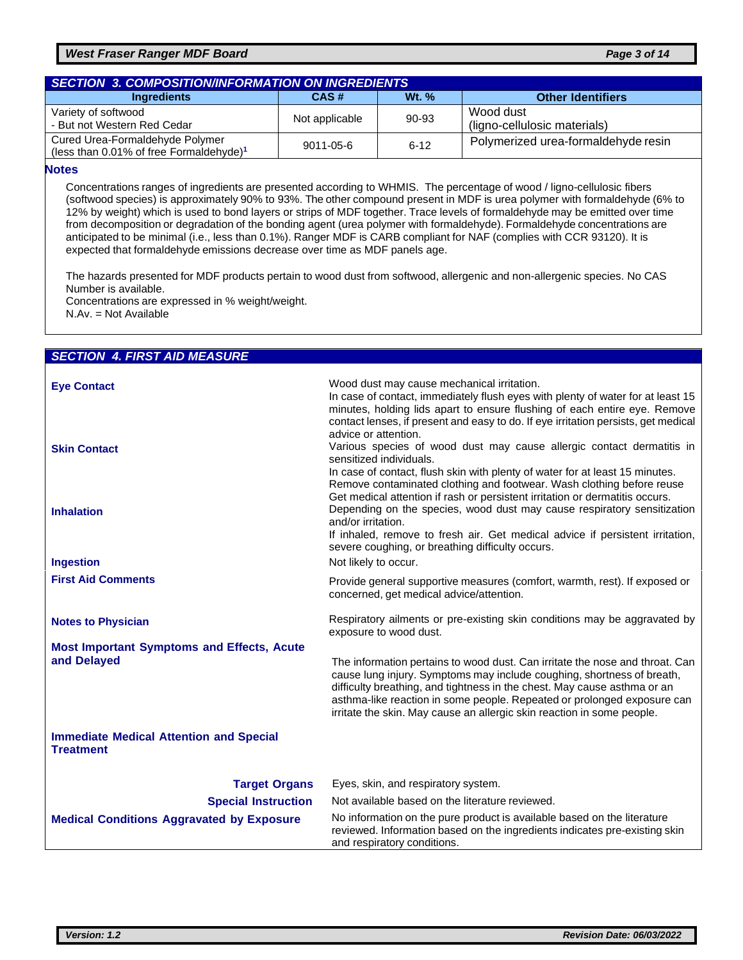#### *West Fraser Ranger MDF Board Page 3 of 14*

| <b>SECTION 3. COMPOSITION/INFORMATION ON INGREDIENTS</b>                                  |                |              |                                           |  |
|-------------------------------------------------------------------------------------------|----------------|--------------|-------------------------------------------|--|
| <b>Ingredients</b>                                                                        | CAS#           | <b>Wt. %</b> | <b>Other Identifiers</b>                  |  |
| Variety of softwood<br>- But not Western Red Cedar                                        | Not applicable | 90-93        | Wood dust<br>(ligno-cellulosic materials) |  |
| Cured Urea-Formaldehyde Polymer<br>(less than $0.01\%$ of free Formaldehyde) <sup>1</sup> | 9011-05-6      | $6 - 12$     | Polymerized urea-formaldehyde resin       |  |

#### **Notes**

Concentrations ranges of ingredients are presented according to WHMIS. The percentage of wood / ligno-cellulosic fibers (softwood species) is approximately 90% to 93%. The other compound present in MDF is urea polymer with formaldehyde (6% to 12% by weight) which is used to bond layers or strips of MDF together. Trace levels of formaldehyde may be emitted over time from decomposition or degradation of the bonding agent (urea polymer with formaldehyde). Formaldehyde concentrations are anticipated to be minimal (i.e., less than 0.1%). Ranger MDF is CARB compliant for NAF (complies with CCR 93120). It is expected that formaldehyde emissions decrease over time as MDF panels age.

The hazards presented for MDF products pertain to wood dust from softwood, allergenic and non-allergenic species. No CAS Number is available.

Concentrations are expressed in % weight/weight.

N.Av. = Not Available

#### *SECTION 4. FIRST AID MEASURE*

| <b>Eve Contact</b><br><b>Skin Contact</b>                          | Wood dust may cause mechanical irritation.<br>In case of contact, immediately flush eyes with plenty of water for at least 15<br>minutes, holding lids apart to ensure flushing of each entire eye. Remove<br>contact lenses, if present and easy to do. If eye irritation persists, get medical<br>advice or attention.<br>Various species of wood dust may cause allergic contact dermatitis in |
|--------------------------------------------------------------------|---------------------------------------------------------------------------------------------------------------------------------------------------------------------------------------------------------------------------------------------------------------------------------------------------------------------------------------------------------------------------------------------------|
|                                                                    | sensitized individuals.<br>In case of contact, flush skin with plenty of water for at least 15 minutes.<br>Remove contaminated clothing and footwear. Wash clothing before reuse<br>Get medical attention if rash or persistent irritation or dermatitis occurs.                                                                                                                                  |
| <b>Inhalation</b>                                                  | Depending on the species, wood dust may cause respiratory sensitization<br>and/or irritation.<br>If inhaled, remove to fresh air. Get medical advice if persistent irritation,<br>severe coughing, or breathing difficulty occurs.                                                                                                                                                                |
| <b>Ingestion</b>                                                   | Not likely to occur.                                                                                                                                                                                                                                                                                                                                                                              |
| <b>First Aid Comments</b>                                          | Provide general supportive measures (comfort, warmth, rest). If exposed or<br>concerned, get medical advice/attention.                                                                                                                                                                                                                                                                            |
| <b>Notes to Physician</b>                                          | Respiratory ailments or pre-existing skin conditions may be aggravated by<br>exposure to wood dust.                                                                                                                                                                                                                                                                                               |
| <b>Most Important Symptoms and Effects, Acute</b><br>and Delayed   | The information pertains to wood dust. Can irritate the nose and throat. Can<br>cause lung injury. Symptoms may include coughing, shortness of breath,<br>difficulty breathing, and tightness in the chest. May cause asthma or an<br>asthma-like reaction in some people. Repeated or prolonged exposure can<br>irritate the skin. May cause an allergic skin reaction in some people.           |
| <b>Immediate Medical Attention and Special</b><br><b>Treatment</b> |                                                                                                                                                                                                                                                                                                                                                                                                   |
| <b>Target Organs</b>                                               | Eyes, skin, and respiratory system.                                                                                                                                                                                                                                                                                                                                                               |
| <b>Special Instruction</b>                                         | Not available based on the literature reviewed.                                                                                                                                                                                                                                                                                                                                                   |
| <b>Medical Conditions Aggravated by Exposure</b>                   | No information on the pure product is available based on the literature<br>reviewed. Information based on the ingredients indicates pre-existing skin<br>and respiratory conditions.                                                                                                                                                                                                              |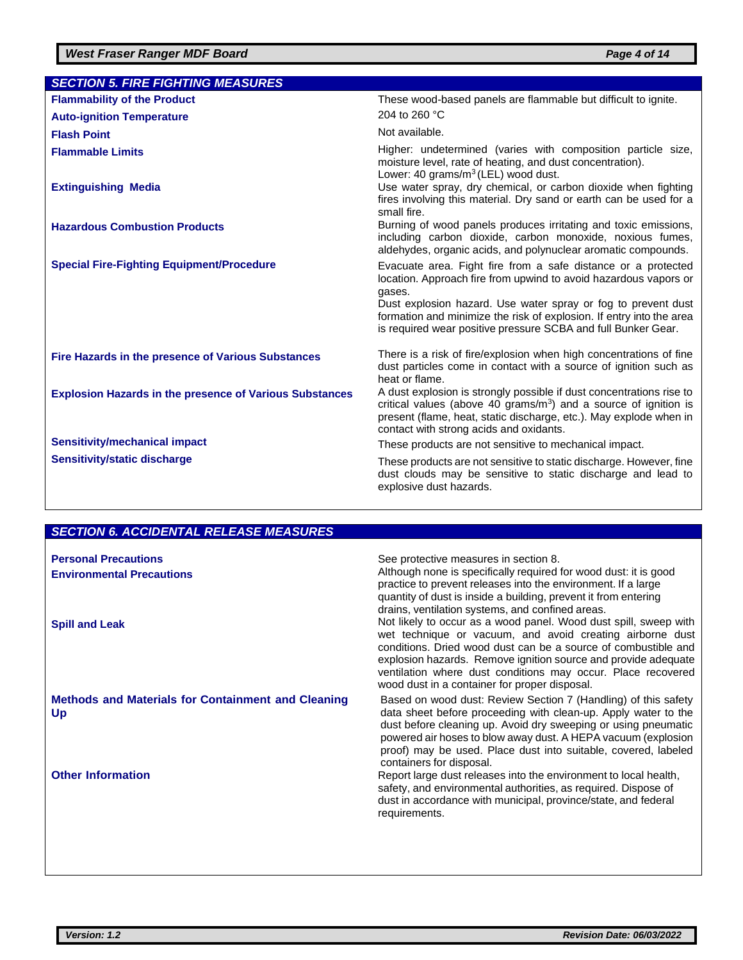| <b>SECTION 5. FIRE FIGHTING MEASURES</b>                       |                                                                                                                                                                                                                                                                                                                                                       |
|----------------------------------------------------------------|-------------------------------------------------------------------------------------------------------------------------------------------------------------------------------------------------------------------------------------------------------------------------------------------------------------------------------------------------------|
| <b>Flammability of the Product</b>                             | These wood-based panels are flammable but difficult to ignite.                                                                                                                                                                                                                                                                                        |
| <b>Auto-ignition Temperature</b>                               | 204 to 260 °C                                                                                                                                                                                                                                                                                                                                         |
| <b>Flash Point</b>                                             | Not available.                                                                                                                                                                                                                                                                                                                                        |
| <b>Flammable Limits</b>                                        | Higher: undetermined (varies with composition particle size,<br>moisture level, rate of heating, and dust concentration).<br>Lower: 40 grams/m <sup>3</sup> (LEL) wood dust.                                                                                                                                                                          |
| <b>Extinguishing Media</b>                                     | Use water spray, dry chemical, or carbon dioxide when fighting<br>fires involving this material. Dry sand or earth can be used for a<br>small fire.                                                                                                                                                                                                   |
| <b>Hazardous Combustion Products</b>                           | Burning of wood panels produces irritating and toxic emissions,<br>including carbon dioxide, carbon monoxide, noxious fumes,<br>aldehydes, organic acids, and polynuclear aromatic compounds.                                                                                                                                                         |
| <b>Special Fire-Fighting Equipment/Procedure</b>               | Evacuate area. Fight fire from a safe distance or a protected<br>location. Approach fire from upwind to avoid hazardous vapors or<br>gases.<br>Dust explosion hazard. Use water spray or fog to prevent dust<br>formation and minimize the risk of explosion. If entry into the area<br>is required wear positive pressure SCBA and full Bunker Gear. |
| Fire Hazards in the presence of Various Substances             | There is a risk of fire/explosion when high concentrations of fine<br>dust particles come in contact with a source of ignition such as<br>heat or flame.                                                                                                                                                                                              |
| <b>Explosion Hazards in the presence of Various Substances</b> | A dust explosion is strongly possible if dust concentrations rise to<br>critical values (above 40 grams/ $m3$ ) and a source of ignition is<br>present (flame, heat, static discharge, etc.). May explode when in<br>contact with strong acids and oxidants.                                                                                          |
| <b>Sensitivity/mechanical impact</b>                           | These products are not sensitive to mechanical impact.                                                                                                                                                                                                                                                                                                |
| <b>Sensitivity/static discharge</b>                            | These products are not sensitive to static discharge. However, fine<br>dust clouds may be sensitive to static discharge and lead to<br>explosive dust hazards.                                                                                                                                                                                        |

# *SECTION 6. ACCIDENTAL RELEASE MEASURES*

| <b>Personal Precautions</b><br><b>Environmental Precautions</b><br><b>Spill and Leak</b> | See protective measures in section 8.<br>Although none is specifically required for wood dust: it is good<br>practice to prevent releases into the environment. If a large<br>quantity of dust is inside a building, prevent it from entering<br>drains, ventilation systems, and confined areas.<br>Not likely to occur as a wood panel. Wood dust spill, sweep with<br>wet technique or vacuum, and avoid creating airborne dust<br>conditions. Dried wood dust can be a source of combustible and<br>explosion hazards. Remove ignition source and provide adequate<br>ventilation where dust conditions may occur. Place recovered<br>wood dust in a container for proper disposal. |
|------------------------------------------------------------------------------------------|-----------------------------------------------------------------------------------------------------------------------------------------------------------------------------------------------------------------------------------------------------------------------------------------------------------------------------------------------------------------------------------------------------------------------------------------------------------------------------------------------------------------------------------------------------------------------------------------------------------------------------------------------------------------------------------------|
| <b>Methods and Materials for Containment and Cleaning</b><br>Up                          | Based on wood dust: Review Section 7 (Handling) of this safety<br>data sheet before proceeding with clean-up. Apply water to the<br>dust before cleaning up. Avoid dry sweeping or using pneumatic<br>powered air hoses to blow away dust. A HEPA vacuum (explosion<br>proof) may be used. Place dust into suitable, covered, labeled<br>containers for disposal.                                                                                                                                                                                                                                                                                                                       |
| <b>Other Information</b>                                                                 | Report large dust releases into the environment to local health,<br>safety, and environmental authorities, as required. Dispose of<br>dust in accordance with municipal, province/state, and federal<br>requirements.                                                                                                                                                                                                                                                                                                                                                                                                                                                                   |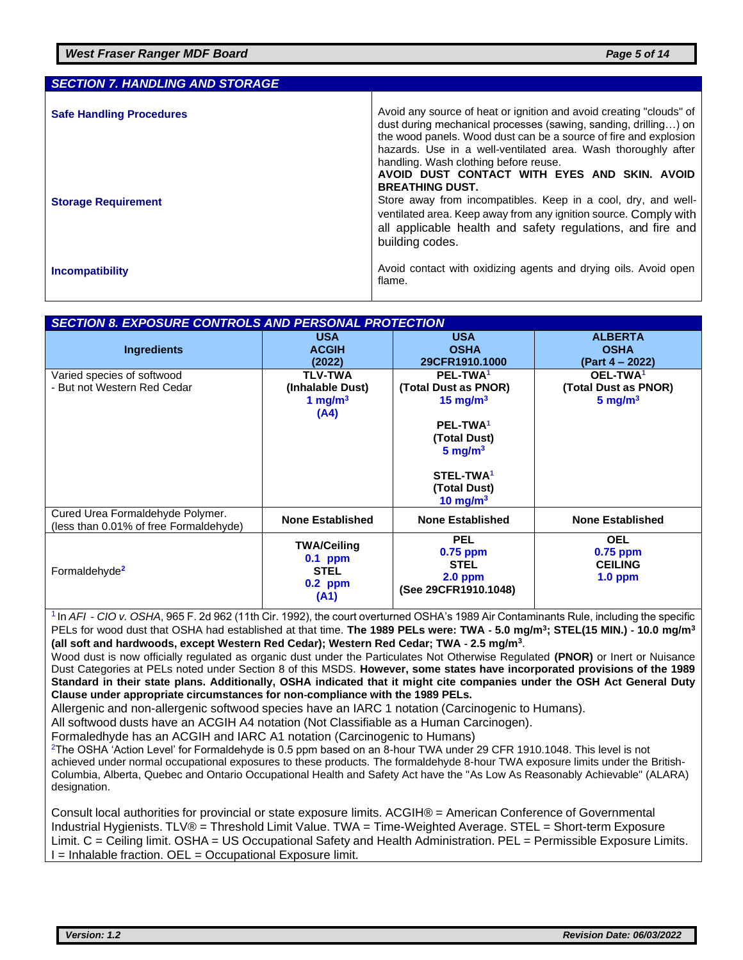| <b>SECTION 7. HANDLING AND STORAGE</b> |                                                                                                                                                                                                                                                                                                                                                                                                |
|----------------------------------------|------------------------------------------------------------------------------------------------------------------------------------------------------------------------------------------------------------------------------------------------------------------------------------------------------------------------------------------------------------------------------------------------|
| <b>Safe Handling Procedures</b>        | Avoid any source of heat or ignition and avoid creating "clouds" of<br>dust during mechanical processes (sawing, sanding, drilling) on<br>the wood panels. Wood dust can be a source of fire and explosion<br>hazards. Use in a well-ventilated area. Wash thoroughly after<br>handling. Wash clothing before reuse.<br>AVOID DUST CONTACT WITH EYES AND SKIN. AVOID<br><b>BREATHING DUST.</b> |
| <b>Storage Requirement</b>             | Store away from incompatibles. Keep in a cool, dry, and well-<br>ventilated area. Keep away from any ignition source. Comply with<br>all applicable health and safety regulations, and fire and<br>building codes.                                                                                                                                                                             |
| <b>Incompatibility</b>                 | Avoid contact with oxidizing agents and drying oils. Avoid open<br>flame.                                                                                                                                                                                                                                                                                                                      |

#### *SECTION 8. EXPOSURE CONTROLS AND PERSONAL PROTECTION*

| Ingredients                                                                | <b>USA</b><br><b>ACGIH</b><br>(2022)                                | <b>USA</b><br><b>OSHA</b><br>29CFR1910.1000                                                                                                                                       | <b>ALBERTA</b><br><b>OSHA</b><br>(Part 4 – 2022)                   |
|----------------------------------------------------------------------------|---------------------------------------------------------------------|-----------------------------------------------------------------------------------------------------------------------------------------------------------------------------------|--------------------------------------------------------------------|
| Varied species of softwood<br>- But not Western Red Cedar                  | <b>TLV-TWA</b><br>(Inhalable Dust)<br>1 mg/m $3$<br>(A4)            | PEL-TWA <sup>1</sup><br>(Total Dust as PNOR)<br>15 mg/m $3$<br>PEL-TWA <sup>1</sup><br>(Total Dust)<br>$5 \text{ mg/m}^3$<br>STEL-TWA <sup>1</sup><br>(Total Dust)<br>10 mg/m $3$ | OEL-TWA <sup>1</sup><br>(Total Dust as PNOR)<br>$5 \text{ mg/m}^3$ |
| Cured Urea Formaldehyde Polymer.<br>(less than 0.01% of free Formaldehyde) | <b>None Established</b>                                             | <b>None Established</b>                                                                                                                                                           | <b>None Established</b>                                            |
| Formaldehyde <sup>2</sup>                                                  | <b>TWA/Ceiling</b><br>$0.1$ ppm<br><b>STEL</b><br>$0.2$ ppm<br>(A1) | <b>PEL</b><br>$0.75$ ppm<br><b>STEL</b><br>$2.0$ ppm<br>(See 29CFR1910.1048)                                                                                                      | <b>OEL</b><br>$0.75$ ppm<br><b>CEILING</b><br>$1.0$ ppm            |

1 In *AFI*‐*CIO v. OSHA*, 965 F. 2d 962 (11th Cir. 1992), the court overturned OSHA's 1989 Air Contaminants Rule, including the specific PELs for wood dust that OSHA had established at that time. **The 1989 PELs were: TWA ‐ 5.0 mg/m<sup>3</sup> ; STEL(15 MIN.) ‐ 10.0 mg/m<sup>3</sup> (all soft and hardwoods, except Western Red Cedar); Western Red Cedar; TWA ‐ 2.5 mg/m<sup>3</sup>** .

Wood dust is now officially regulated as organic dust under the Particulates Not Otherwise Regulated **(PNOR)** or Inert or Nuisance Dust Categories at PELs noted under Section 8 of this MSDS. **However, some states have incorporated provisions of the 1989 Standard in their state plans. Additionally, OSHA indicated that it might cite companies under the OSH Act General Duty Clause under appropriate circumstances for non‐compliance with the 1989 PELs.**

Allergenic and non-allergenic softwood species have an IARC 1 notation (Carcinogenic to Humans).

All softwood dusts have an ACGIH A4 notation (Not Classifiable as a Human Carcinogen).

Formaledhyde has an ACGIH and IARC A1 notation (Carcinogenic to Humans)

 $2$ The OSHA 'Action Level' for Formaldehyde is 0.5 ppm based on an 8-hour TWA under 29 CFR 1910.1048. This level is not achieved under normal occupational exposures to these products. The formaldehyde 8-hour TWA exposure limits under the British-Columbia, Alberta, Quebec and Ontario Occupational Health and Safety Act have the "As Low As Reasonably Achievable" (ALARA) designation.

Consult local authorities for provincial or state exposure limits. ACGIH® = American Conference of Governmental Industrial Hygienists. TLV® = Threshold Limit Value. TWA = Time-Weighted Average. STEL = Short-term Exposure Limit. C = Ceiling limit. OSHA = US Occupational Safety and Health Administration. PEL = Permissible Exposure Limits. I = Inhalable fraction. OEL = Occupational Exposure limit.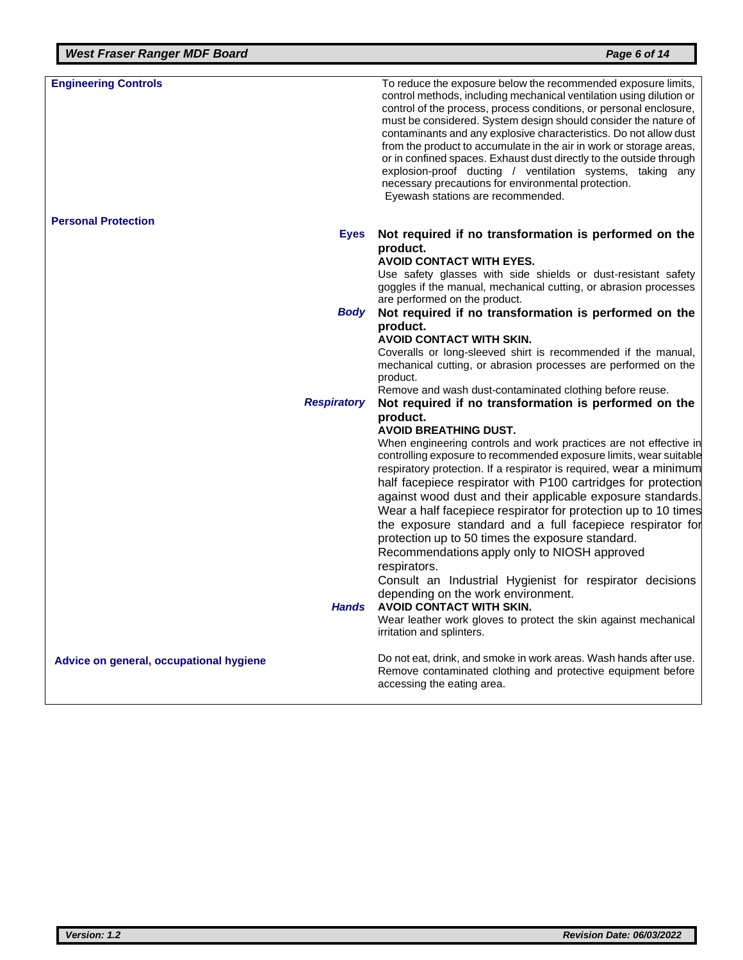| <b>Engineering Controls</b>               | To reduce the exposure below the recommended exposure limits,<br>control methods, including mechanical ventilation using dilution or<br>control of the process, process conditions, or personal enclosure,<br>must be considered. System design should consider the nature of<br>contaminants and any explosive characteristics. Do not allow dust<br>from the product to accumulate in the air in work or storage areas,<br>or in confined spaces. Exhaust dust directly to the outside through<br>explosion-proof ducting / ventilation systems, taking any<br>necessary precautions for environmental protection.<br>Eyewash stations are recommended.                                                                                                                                                                                                             |
|-------------------------------------------|-----------------------------------------------------------------------------------------------------------------------------------------------------------------------------------------------------------------------------------------------------------------------------------------------------------------------------------------------------------------------------------------------------------------------------------------------------------------------------------------------------------------------------------------------------------------------------------------------------------------------------------------------------------------------------------------------------------------------------------------------------------------------------------------------------------------------------------------------------------------------|
| <b>Personal Protection</b><br><b>Eyes</b> | Not required if no transformation is performed on the                                                                                                                                                                                                                                                                                                                                                                                                                                                                                                                                                                                                                                                                                                                                                                                                                 |
|                                           | product.<br><b>AVOID CONTACT WITH EYES.</b><br>Use safety glasses with side shields or dust-resistant safety<br>goggles if the manual, mechanical cutting, or abrasion processes<br>are performed on the product.                                                                                                                                                                                                                                                                                                                                                                                                                                                                                                                                                                                                                                                     |
| Body                                      | Not required if no transformation is performed on the                                                                                                                                                                                                                                                                                                                                                                                                                                                                                                                                                                                                                                                                                                                                                                                                                 |
|                                           | product.<br><b>AVOID CONTACT WITH SKIN.</b><br>Coveralls or long-sleeved shirt is recommended if the manual,<br>mechanical cutting, or abrasion processes are performed on the<br>product.<br>Remove and wash dust-contaminated clothing before reuse.                                                                                                                                                                                                                                                                                                                                                                                                                                                                                                                                                                                                                |
| <b>Respiratory</b>                        | Not required if no transformation is performed on the<br>product.                                                                                                                                                                                                                                                                                                                                                                                                                                                                                                                                                                                                                                                                                                                                                                                                     |
| Hands                                     | <b>AVOID BREATHING DUST.</b><br>When engineering controls and work practices are not effective in<br>controlling exposure to recommended exposure limits, wear suitable<br>respiratory protection. If a respirator is required, wear a minimum<br>half facepiece respirator with P100 cartridges for protection<br>against wood dust and their applicable exposure standards.<br>Wear a half facepiece respirator for protection up to 10 times<br>the exposure standard and a full facepiece respirator for<br>protection up to 50 times the exposure standard.<br>Recommendations apply only to NIOSH approved<br>respirators.<br>Consult an Industrial Hygienist for respirator decisions<br>depending on the work environment.<br><b>AVOID CONTACT WITH SKIN.</b><br>Wear leather work gloves to protect the skin against mechanical<br>irritation and splinters. |
| Advice on general, occupational hygiene   | Do not eat, drink, and smoke in work areas. Wash hands after use.<br>Remove contaminated clothing and protective equipment before<br>accessing the eating area.                                                                                                                                                                                                                                                                                                                                                                                                                                                                                                                                                                                                                                                                                                       |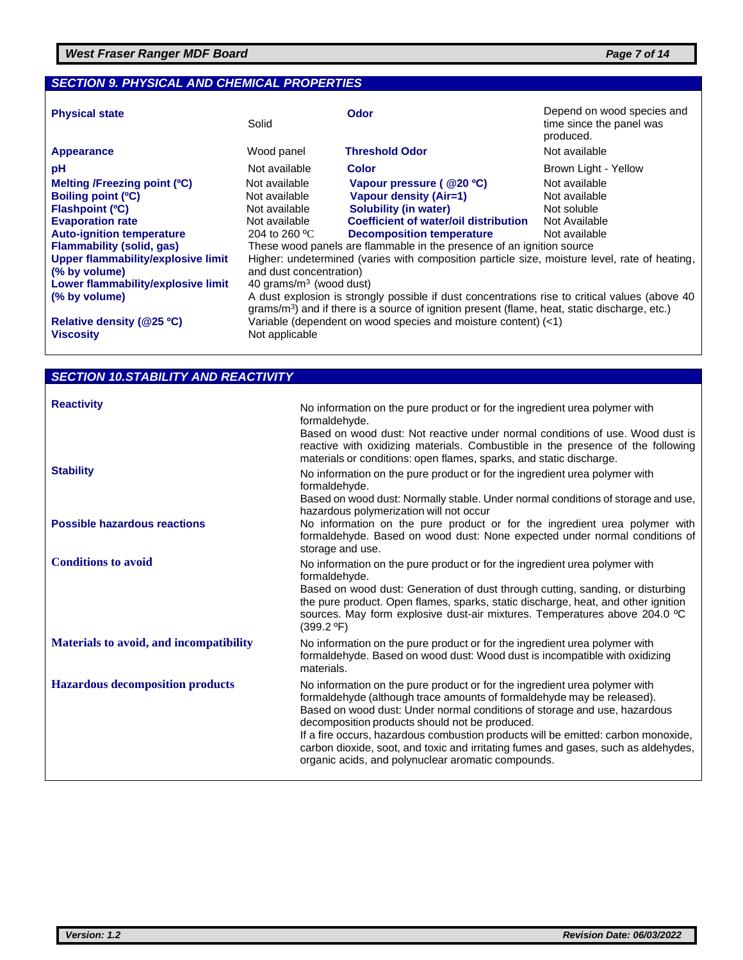### *SECTION 9. PHYSICAL AND CHEMICAL PROPERTIES*

| <b>Physical state</b>                     | Solid                                                                                                                                                                                             | Odor                                  | Depend on wood species and<br>time since the panel was<br>produced. |
|-------------------------------------------|---------------------------------------------------------------------------------------------------------------------------------------------------------------------------------------------------|---------------------------------------|---------------------------------------------------------------------|
| <b>Appearance</b>                         | Wood panel                                                                                                                                                                                        | <b>Threshold Odor</b>                 | Not available                                                       |
| рH                                        | Not available                                                                                                                                                                                     | <b>Color</b>                          | Brown Light - Yellow                                                |
| Melting /Freezing point (°C)              | Not available                                                                                                                                                                                     | Vapour pressure ( @20 °C)             | Not available                                                       |
| Boiling point (°C)                        | Not available                                                                                                                                                                                     | <b>Vapour density (Air=1)</b>         | Not available                                                       |
| <b>Flashpoint (°C)</b>                    | Not available                                                                                                                                                                                     | Solubility (in water)                 | Not soluble                                                         |
| <b>Evaporation rate</b>                   | Not available                                                                                                                                                                                     | Coefficient of water/oil distribution | Not Available                                                       |
| <b>Auto-ignition temperature</b>          | 204 to 260 $^{\circ}$ C                                                                                                                                                                           | <b>Decomposition temperature</b>      | Not available                                                       |
| <b>Flammability (solid, gas)</b>          | These wood panels are flammable in the presence of an ignition source                                                                                                                             |                                       |                                                                     |
| <b>Upper flammability/explosive limit</b> | Higher: undetermined (varies with composition particle size, moisture level, rate of heating,                                                                                                     |                                       |                                                                     |
| (% by volume)                             | and dust concentration)                                                                                                                                                                           |                                       |                                                                     |
| Lower flammability/explosive limit        | 40 grams/ $m3$ (wood dust)                                                                                                                                                                        |                                       |                                                                     |
| (% by volume)                             | A dust explosion is strongly possible if dust concentrations rise to critical values (above 40<br>$grams/m3$ ) and if there is a source of ignition present (flame, heat, static discharge, etc.) |                                       |                                                                     |
| Relative density (@25 °C)                 | Variable (dependent on wood species and moisture content) (<1)                                                                                                                                    |                                       |                                                                     |
| <b>Viscosity</b>                          | Not applicable                                                                                                                                                                                    |                                       |                                                                     |

# *SECTION 10.STABILITY AND REACTIVITY*

| <b>Reactivity</b>                       | No information on the pure product or for the ingredient urea polymer with                                                                                                                                                                                                                                                                                                                                                                                                                                           |
|-----------------------------------------|----------------------------------------------------------------------------------------------------------------------------------------------------------------------------------------------------------------------------------------------------------------------------------------------------------------------------------------------------------------------------------------------------------------------------------------------------------------------------------------------------------------------|
|                                         | formaldehyde.<br>Based on wood dust: Not reactive under normal conditions of use. Wood dust is<br>reactive with oxidizing materials. Combustible in the presence of the following<br>materials or conditions: open flames, sparks, and static discharge.                                                                                                                                                                                                                                                             |
| <b>Stability</b>                        | No information on the pure product or for the ingredient urea polymer with<br>formaldehyde.<br>Based on wood dust: Normally stable. Under normal conditions of storage and use,                                                                                                                                                                                                                                                                                                                                      |
|                                         | hazardous polymerization will not occur                                                                                                                                                                                                                                                                                                                                                                                                                                                                              |
| <b>Possible hazardous reactions</b>     | No information on the pure product or for the ingredient urea polymer with<br>formaldehyde. Based on wood dust: None expected under normal conditions of<br>storage and use.                                                                                                                                                                                                                                                                                                                                         |
| <b>Conditions to avoid</b>              | No information on the pure product or for the ingredient urea polymer with<br>formaldehyde.                                                                                                                                                                                                                                                                                                                                                                                                                          |
|                                         | Based on wood dust: Generation of dust through cutting, sanding, or disturbing<br>the pure product. Open flames, sparks, static discharge, heat, and other ignition<br>sources. May form explosive dust-air mixtures. Temperatures above 204.0 °C<br>(399.2 °F)                                                                                                                                                                                                                                                      |
| Materials to avoid, and incompatibility | No information on the pure product or for the ingredient urea polymer with<br>formaldehyde. Based on wood dust: Wood dust is incompatible with oxidizing<br>materials.                                                                                                                                                                                                                                                                                                                                               |
| <b>Hazardous decomposition products</b> | No information on the pure product or for the ingredient urea polymer with<br>formaldehyde (although trace amounts of formaldehyde may be released).<br>Based on wood dust: Under normal conditions of storage and use, hazardous<br>decomposition products should not be produced.<br>If a fire occurs, hazardous combustion products will be emitted: carbon monoxide,<br>carbon dioxide, soot, and toxic and irritating fumes and gases, such as aldehydes,<br>organic acids, and polynuclear aromatic compounds. |
|                                         |                                                                                                                                                                                                                                                                                                                                                                                                                                                                                                                      |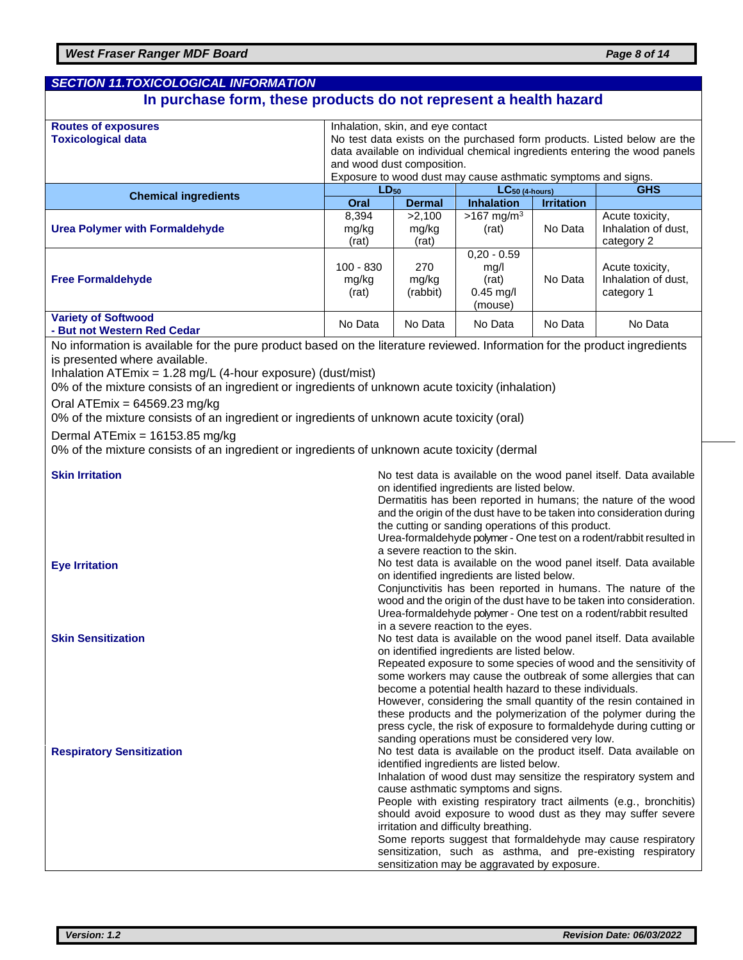| <b>SECTION 11.TOXICOLOGICAL INFORMATION</b>                                                                                                                                                                                                                                                                                                                                                                                                                                                                                                                                                          |                                                                                                                                                                                                                                                                                            |                                                                                                                                                                                                                                                                                                                                                                                                                                                                                                                                                                                                                                                                                                                                                                                                                                                                                                                                                                                                |                                                                                                                                                                                                                         |                              |                                                                                                                                                                                                                                                                                                                                                                                                                                                                                                                                                                         |
|------------------------------------------------------------------------------------------------------------------------------------------------------------------------------------------------------------------------------------------------------------------------------------------------------------------------------------------------------------------------------------------------------------------------------------------------------------------------------------------------------------------------------------------------------------------------------------------------------|--------------------------------------------------------------------------------------------------------------------------------------------------------------------------------------------------------------------------------------------------------------------------------------------|------------------------------------------------------------------------------------------------------------------------------------------------------------------------------------------------------------------------------------------------------------------------------------------------------------------------------------------------------------------------------------------------------------------------------------------------------------------------------------------------------------------------------------------------------------------------------------------------------------------------------------------------------------------------------------------------------------------------------------------------------------------------------------------------------------------------------------------------------------------------------------------------------------------------------------------------------------------------------------------------|-------------------------------------------------------------------------------------------------------------------------------------------------------------------------------------------------------------------------|------------------------------|-------------------------------------------------------------------------------------------------------------------------------------------------------------------------------------------------------------------------------------------------------------------------------------------------------------------------------------------------------------------------------------------------------------------------------------------------------------------------------------------------------------------------------------------------------------------------|
| In purchase form, these products do not represent a health hazard                                                                                                                                                                                                                                                                                                                                                                                                                                                                                                                                    |                                                                                                                                                                                                                                                                                            |                                                                                                                                                                                                                                                                                                                                                                                                                                                                                                                                                                                                                                                                                                                                                                                                                                                                                                                                                                                                |                                                                                                                                                                                                                         |                              |                                                                                                                                                                                                                                                                                                                                                                                                                                                                                                                                                                         |
| <b>Routes of exposures</b><br><b>Toxicological data</b>                                                                                                                                                                                                                                                                                                                                                                                                                                                                                                                                              | Inhalation, skin, and eye contact<br>No test data exists on the purchased form products. Listed below are the<br>data available on individual chemical ingredients entering the wood panels<br>and wood dust composition.<br>Exposure to wood dust may cause asthmatic symptoms and signs. |                                                                                                                                                                                                                                                                                                                                                                                                                                                                                                                                                                                                                                                                                                                                                                                                                                                                                                                                                                                                |                                                                                                                                                                                                                         |                              |                                                                                                                                                                                                                                                                                                                                                                                                                                                                                                                                                                         |
| <b>Chemical ingredients</b>                                                                                                                                                                                                                                                                                                                                                                                                                                                                                                                                                                          | $LD_{50}$                                                                                                                                                                                                                                                                                  |                                                                                                                                                                                                                                                                                                                                                                                                                                                                                                                                                                                                                                                                                                                                                                                                                                                                                                                                                                                                | $LC_{50}$ (4-hours)                                                                                                                                                                                                     |                              | <b>GHS</b>                                                                                                                                                                                                                                                                                                                                                                                                                                                                                                                                                              |
| <b>Urea Polymer with Formaldehyde</b>                                                                                                                                                                                                                                                                                                                                                                                                                                                                                                                                                                | Oral<br>8,394<br>mg/kg<br>(rat)                                                                                                                                                                                                                                                            | <b>Dermal</b><br>>2,100<br>mg/kg<br>(rat)                                                                                                                                                                                                                                                                                                                                                                                                                                                                                                                                                                                                                                                                                                                                                                                                                                                                                                                                                      | <b>Inhalation</b><br>$>167$ mg/m <sup>3</sup><br>(rat)                                                                                                                                                                  | <b>Irritation</b><br>No Data | Acute toxicity,<br>Inhalation of dust,<br>category 2                                                                                                                                                                                                                                                                                                                                                                                                                                                                                                                    |
| <b>Free Formaldehyde</b>                                                                                                                                                                                                                                                                                                                                                                                                                                                                                                                                                                             | $100 - 830$<br>mg/kg<br>(rat)                                                                                                                                                                                                                                                              | 270<br>mg/kg<br>(rabbit)                                                                                                                                                                                                                                                                                                                                                                                                                                                                                                                                                                                                                                                                                                                                                                                                                                                                                                                                                                       | $0,20 - 0.59$<br>mg/l<br>(rat)<br>$0.45$ mg/l<br>(mouse)                                                                                                                                                                | No Data                      | Acute toxicity,<br>Inhalation of dust,<br>category 1                                                                                                                                                                                                                                                                                                                                                                                                                                                                                                                    |
| <b>Variety of Softwood</b><br>- But not Western Red Cedar                                                                                                                                                                                                                                                                                                                                                                                                                                                                                                                                            | No Data                                                                                                                                                                                                                                                                                    | No Data                                                                                                                                                                                                                                                                                                                                                                                                                                                                                                                                                                                                                                                                                                                                                                                                                                                                                                                                                                                        | No Data                                                                                                                                                                                                                 | No Data                      | No Data                                                                                                                                                                                                                                                                                                                                                                                                                                                                                                                                                                 |
| No information is available for the pure product based on the literature reviewed. Information for the product ingredients<br>is presented where available.<br>Inhalation ATEmix = $1.28$ mg/L (4-hour exposure) (dust/mist)<br>0% of the mixture consists of an ingredient or ingredients of unknown acute toxicity (inhalation)<br>Oral ATEmix = $64569.23$ mg/kg<br>0% of the mixture consists of an ingredient or ingredients of unknown acute toxicity (oral)<br>Dermal ATEmix = 16153.85 mg/kg<br>0% of the mixture consists of an ingredient or ingredients of unknown acute toxicity (dermal |                                                                                                                                                                                                                                                                                            |                                                                                                                                                                                                                                                                                                                                                                                                                                                                                                                                                                                                                                                                                                                                                                                                                                                                                                                                                                                                |                                                                                                                                                                                                                         |                              |                                                                                                                                                                                                                                                                                                                                                                                                                                                                                                                                                                         |
| <b>Skin Irritation</b><br><b>Eye Irritation</b>                                                                                                                                                                                                                                                                                                                                                                                                                                                                                                                                                      |                                                                                                                                                                                                                                                                                            |                                                                                                                                                                                                                                                                                                                                                                                                                                                                                                                                                                                                                                                                                                                                                                                                                                                                                                                                                                                                | on identified ingredients are listed below.<br>the cutting or sanding operations of this product.<br>a severe reaction to the skin.<br>on identified ingredients are listed below.<br>in a severe reaction to the eyes. |                              | No test data is available on the wood panel itself. Data available<br>Dermatitis has been reported in humans; the nature of the wood<br>and the origin of the dust have to be taken into consideration during<br>Urea-formaldehyde polymer - One test on a rodent/rabbit resulted in<br>No test data is available on the wood panel itself. Data available<br>Conjunctivitis has been reported in humans. The nature of the<br>wood and the origin of the dust have to be taken into consideration.<br>Urea-formaldehyde polymer - One test on a rodent/rabbit resulted |
| <b>Skin Sensitization</b><br><b>Respiratory Sensitization</b>                                                                                                                                                                                                                                                                                                                                                                                                                                                                                                                                        |                                                                                                                                                                                                                                                                                            | No test data is available on the wood panel itself. Data available<br>on identified ingredients are listed below.<br>Repeated exposure to some species of wood and the sensitivity of<br>some workers may cause the outbreak of some allergies that can<br>become a potential health hazard to these individuals.<br>However, considering the small quantity of the resin contained in<br>these products and the polymerization of the polymer during the<br>press cycle, the risk of exposure to formaldehyde during cutting or<br>sanding operations must be considered very low.<br>No test data is available on the product itself. Data available on<br>identified ingredients are listed below.<br>Inhalation of wood dust may sensitize the respiratory system and<br>cause asthmatic symptoms and signs.<br>People with existing respiratory tract ailments (e.g., bronchitis)<br>should avoid exposure to wood dust as they may suffer severe<br>irritation and difficulty breathing. |                                                                                                                                                                                                                         |                              |                                                                                                                                                                                                                                                                                                                                                                                                                                                                                                                                                                         |
|                                                                                                                                                                                                                                                                                                                                                                                                                                                                                                                                                                                                      |                                                                                                                                                                                                                                                                                            |                                                                                                                                                                                                                                                                                                                                                                                                                                                                                                                                                                                                                                                                                                                                                                                                                                                                                                                                                                                                | sensitization may be aggravated by exposure.                                                                                                                                                                            |                              | Some reports suggest that formaldehyde may cause respiratory<br>sensitization, such as asthma, and pre-existing respiratory                                                                                                                                                                                                                                                                                                                                                                                                                                             |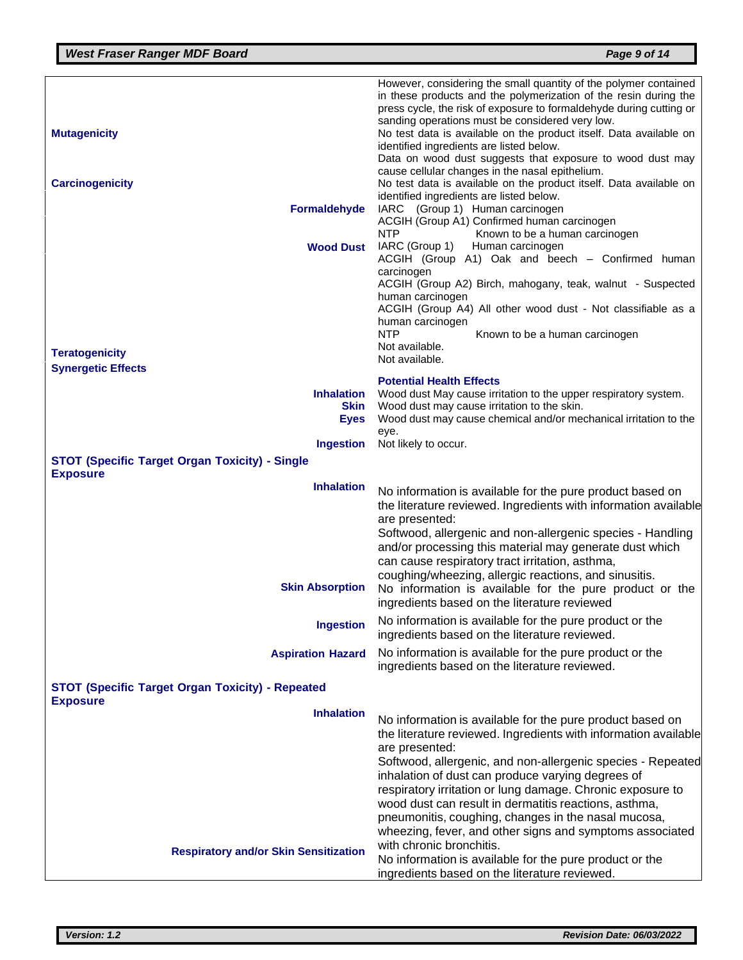|                                                         | However, considering the small quantity of the polymer contained                                             |
|---------------------------------------------------------|--------------------------------------------------------------------------------------------------------------|
|                                                         | in these products and the polymerization of the resin during the                                             |
|                                                         | press cycle, the risk of exposure to formaldehyde during cutting or                                          |
|                                                         | sanding operations must be considered very low.                                                              |
| <b>Mutagenicity</b>                                     | No test data is available on the product itself. Data available on                                           |
|                                                         | identified ingredients are listed below.                                                                     |
|                                                         | Data on wood dust suggests that exposure to wood dust may<br>cause cellular changes in the nasal epithelium. |
| <b>Carcinogenicity</b>                                  | No test data is available on the product itself. Data available on                                           |
|                                                         | identified ingredients are listed below.                                                                     |
| <b>Formaldehyde</b>                                     | IARC (Group 1) Human carcinogen                                                                              |
|                                                         | ACGIH (Group A1) Confirmed human carcinogen                                                                  |
|                                                         | <b>NTP</b><br>Known to be a human carcinogen                                                                 |
| <b>Wood Dust</b>                                        | IARC (Group 1)<br>Human carcinogen                                                                           |
|                                                         | ACGIH (Group A1) Oak and beech - Confirmed human                                                             |
|                                                         | carcinogen<br>ACGIH (Group A2) Birch, mahogany, teak, walnut - Suspected                                     |
|                                                         | human carcinogen                                                                                             |
|                                                         | ACGIH (Group A4) All other wood dust - Not classifiable as a                                                 |
|                                                         | human carcinogen                                                                                             |
|                                                         | <b>NTP</b><br>Known to be a human carcinogen                                                                 |
| <b>Teratogenicity</b>                                   | Not available.                                                                                               |
| <b>Synergetic Effects</b>                               | Not available.                                                                                               |
|                                                         | <b>Potential Health Effects</b>                                                                              |
| <b>Inhalation</b>                                       | Wood dust May cause irritation to the upper respiratory system.                                              |
| <b>Skin</b>                                             | Wood dust may cause irritation to the skin.                                                                  |
| <b>Eyes</b>                                             | Wood dust may cause chemical and/or mechanical irritation to the                                             |
| <b>Ingestion</b>                                        | eye.<br>Not likely to occur.                                                                                 |
| <b>STOT (Specific Target Organ Toxicity) - Single</b>   |                                                                                                              |
| <b>Exposure</b>                                         |                                                                                                              |
| <b>Inhalation</b>                                       | No information is available for the pure product based on                                                    |
|                                                         | the literature reviewed. Ingredients with information available                                              |
|                                                         | are presented:                                                                                               |
|                                                         | Softwood, allergenic and non-allergenic species - Handling                                                   |
|                                                         | and/or processing this material may generate dust which                                                      |
|                                                         | can cause respiratory tract irritation, asthma,                                                              |
|                                                         | coughing/wheezing, allergic reactions, and sinusitis.                                                        |
| <b>Skin Absorption</b>                                  | No information is available for the pure product or the                                                      |
|                                                         | ingredients based on the literature reviewed                                                                 |
| <b>Ingestion</b>                                        | No information is available for the pure product or the                                                      |
|                                                         | ingredients based on the literature reviewed.                                                                |
| <b>Aspiration Hazard</b>                                | No information is available for the pure product or the                                                      |
|                                                         | ingredients based on the literature reviewed.                                                                |
| <b>STOT (Specific Target Organ Toxicity) - Repeated</b> |                                                                                                              |
| <b>Exposure</b>                                         |                                                                                                              |
| <b>Inhalation</b>                                       |                                                                                                              |
|                                                         | No information is available for the pure product based on                                                    |
|                                                         | the literature reviewed. Ingredients with information available<br>are presented:                            |
|                                                         | Softwood, allergenic, and non-allergenic species - Repeated                                                  |
|                                                         | inhalation of dust can produce varying degrees of                                                            |
|                                                         | respiratory irritation or lung damage. Chronic exposure to                                                   |
|                                                         | wood dust can result in dermatitis reactions, asthma,                                                        |
|                                                         | pneumonitis, coughing, changes in the nasal mucosa,                                                          |
|                                                         | wheezing, fever, and other signs and symptoms associated                                                     |
| <b>Respiratory and/or Skin Sensitization</b>            | with chronic bronchitis.                                                                                     |
|                                                         | No information is available for the pure product or the                                                      |
|                                                         | ingredients based on the literature reviewed.                                                                |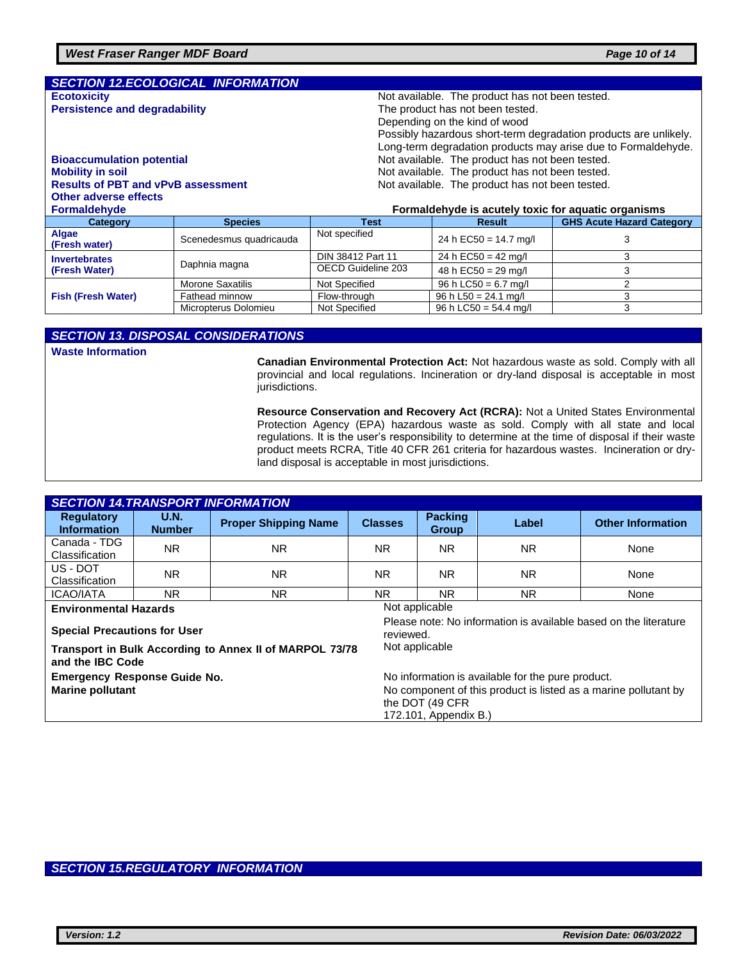|                                           | <b>SECTION 12.ECOLOGICAL INFORMATION</b> |                                                                  |                                                     |                                  |  |  |
|-------------------------------------------|------------------------------------------|------------------------------------------------------------------|-----------------------------------------------------|----------------------------------|--|--|
| <b>Ecotoxicity</b>                        |                                          | Not available. The product has not been tested.                  |                                                     |                                  |  |  |
| <b>Persistence and degradability</b>      |                                          | The product has not been tested.                                 |                                                     |                                  |  |  |
|                                           |                                          | Depending on the kind of wood                                    |                                                     |                                  |  |  |
|                                           |                                          | Possibly hazardous short-term degradation products are unlikely. |                                                     |                                  |  |  |
|                                           |                                          | Long-term degradation products may arise due to Formaldehyde.    |                                                     |                                  |  |  |
| <b>Bioaccumulation potential</b>          |                                          | Not available. The product has not been tested.                  |                                                     |                                  |  |  |
| <b>Mobility in soil</b>                   |                                          | Not available. The product has not been tested.                  |                                                     |                                  |  |  |
| <b>Results of PBT and vPvB assessment</b> |                                          | Not available. The product has not been tested.                  |                                                     |                                  |  |  |
| Other adverse effects                     |                                          |                                                                  |                                                     |                                  |  |  |
|                                           |                                          |                                                                  |                                                     |                                  |  |  |
| <b>Formaldehyde</b>                       |                                          |                                                                  | Formaldehyde is acutely toxic for aquatic organisms |                                  |  |  |
| Category                                  | <b>Species</b>                           | <b>Test</b>                                                      | <b>Result</b>                                       | <b>GHS Acute Hazard Category</b> |  |  |
| Algae<br>(Fresh water)                    | Scenedesmus quadricauda                  | Not specified                                                    | 24 h EC50 = $14.7$ mg/l                             | 3                                |  |  |
| <b>Invertebrates</b>                      |                                          | DIN 38412 Part 11                                                | 24 h EC50 = 42 mg/l                                 | 3                                |  |  |
| (Fresh Water)                             | Daphnia magna                            | OECD Guideline 203                                               | 48 h EC50 = 29 mg/l                                 | 3                                |  |  |
|                                           | Morone Saxatilis                         | Not Specified                                                    | 96 h LC50 = $6.7$ mg/l                              | 2                                |  |  |
| <b>Fish (Fresh Water)</b>                 | Fathead minnow                           | Flow-through                                                     | 96 h L50 = $24.1$ mg/l                              | 3                                |  |  |

#### *SECTION 13. DISPOSAL CONSIDERATIONS*

**Waste Information** 

**Canadian Environmental Protection Act:** Not hazardous waste as sold. Comply with all provincial and local regulations. Incineration or dry-land disposal is acceptable in most jurisdictions.

 $96 h$  LC50 = 54.4 mg/l

**Resource Conservation and Recovery Act (RCRA):** Not a United States Environmental Protection Agency (EPA) hazardous waste as sold. Comply with all state and local regulations. It is the user's responsibility to determine at the time of disposal if their waste product meets RCRA, Title 40 CFR 261 criteria for hazardous wastes. Incineration or dryland disposal is acceptable in most jurisdictions.

| <b>SECTION 14.TRANSPORT INFORMATION</b>                                     |                              |                             |                                                                                                                                         |                                                                                                 |                |                          |  |  |
|-----------------------------------------------------------------------------|------------------------------|-----------------------------|-----------------------------------------------------------------------------------------------------------------------------------------|-------------------------------------------------------------------------------------------------|----------------|--------------------------|--|--|
| <b>Regulatory</b><br><b>Information</b>                                     | <b>U.N.</b><br><b>Number</b> | <b>Proper Shipping Name</b> | <b>Classes</b>                                                                                                                          | <b>Packing</b><br><b>Group</b>                                                                  | Label          | <b>Other Information</b> |  |  |
| Canada - TDG<br>Classification                                              | NR.                          | <b>NR</b>                   | NR.                                                                                                                                     | NR.                                                                                             | <b>NR</b>      | None                     |  |  |
| US - DOT<br>Classification                                                  | NR.                          | <b>NR</b>                   | NR.                                                                                                                                     | NR.                                                                                             | <b>NR</b>      | None                     |  |  |
| <b>ICAO/IATA</b>                                                            | NR.                          | <b>NR</b>                   | NR.                                                                                                                                     | NR.                                                                                             | N <sub>R</sub> | None                     |  |  |
| <b>Environmental Hazards</b><br><b>Special Precautions for User</b>         |                              |                             |                                                                                                                                         | Not applicable<br>Please note: No information is available based on the literature<br>reviewed. |                |                          |  |  |
| Transport in Bulk According to Annex II of MARPOL 73/78<br>and the IBC Code |                              |                             |                                                                                                                                         | Not applicable                                                                                  |                |                          |  |  |
| <b>Emergency Response Guide No.</b><br><b>Marine pollutant</b>              |                              |                             | No information is available for the pure product.<br>No component of this product is listed as a marine pollutant by<br>the DOT (49 CFR |                                                                                                 |                |                          |  |  |
|                                                                             |                              |                             |                                                                                                                                         | 172.101, Appendix B.)                                                                           |                |                          |  |  |

#### *SECTION 15.REGULATORY INFORMATION*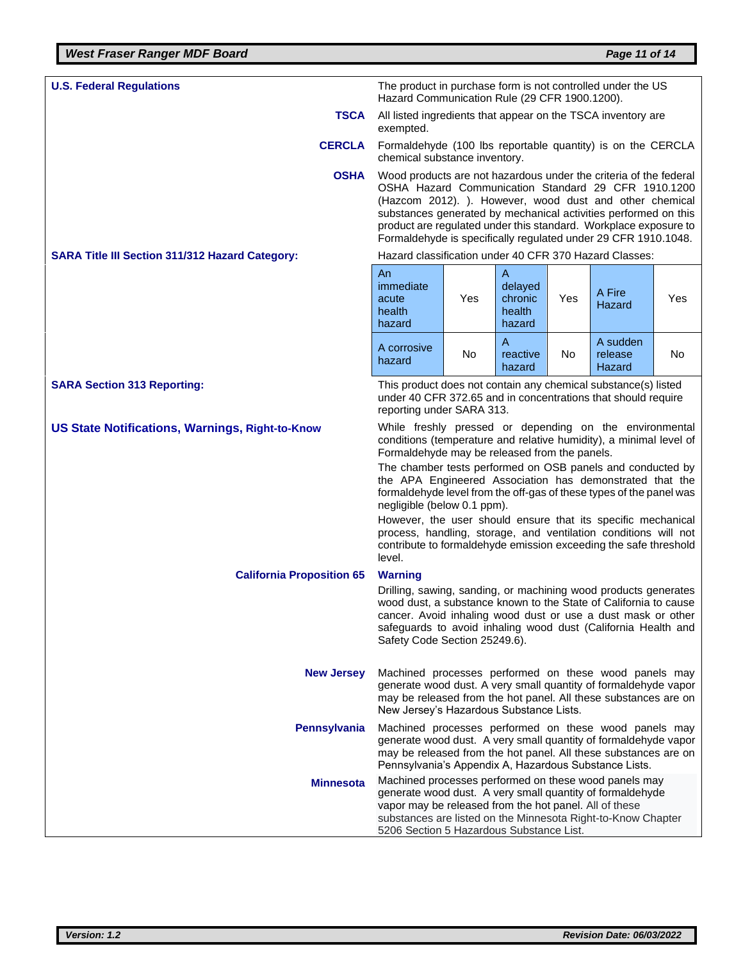| <b>U.S. Federal Regulations</b>                                                                                                                                                                                                                                                                       | The product in purchase form is not controlled under the US<br>Hazard Communication Rule (29 CFR 1900.1200).                                                                                                                                                                                                                                                                                 |     |                                             |     |                                                             |     |
|-------------------------------------------------------------------------------------------------------------------------------------------------------------------------------------------------------------------------------------------------------------------------------------------------------|----------------------------------------------------------------------------------------------------------------------------------------------------------------------------------------------------------------------------------------------------------------------------------------------------------------------------------------------------------------------------------------------|-----|---------------------------------------------|-----|-------------------------------------------------------------|-----|
| <b>TSCA</b>                                                                                                                                                                                                                                                                                           | All listed ingredients that appear on the TSCA inventory are<br>exempted.                                                                                                                                                                                                                                                                                                                    |     |                                             |     |                                                             |     |
| <b>CERCLA</b>                                                                                                                                                                                                                                                                                         | chemical substance inventory.                                                                                                                                                                                                                                                                                                                                                                |     |                                             |     | Formaldehyde (100 lbs reportable quantity) is on the CERCLA |     |
| <b>OSHA</b>                                                                                                                                                                                                                                                                                           | Wood products are not hazardous under the criteria of the federal<br>OSHA Hazard Communication Standard 29 CFR 1910.1200<br>(Hazcom 2012). ). However, wood dust and other chemical<br>substances generated by mechanical activities performed on this<br>product are regulated under this standard. Workplace exposure to<br>Formaldehyde is specifically regulated under 29 CFR 1910.1048. |     |                                             |     |                                                             |     |
| <b>SARA Title III Section 311/312 Hazard Category:</b>                                                                                                                                                                                                                                                | Hazard classification under 40 CFR 370 Hazard Classes:                                                                                                                                                                                                                                                                                                                                       |     |                                             |     |                                                             |     |
|                                                                                                                                                                                                                                                                                                       | An<br>immediate<br>acute<br>health<br>hazard                                                                                                                                                                                                                                                                                                                                                 | Yes | Α<br>delayed<br>chronic<br>health<br>hazard | Yes | A Fire<br>Hazard                                            | Yes |
|                                                                                                                                                                                                                                                                                                       | A corrosive<br>hazard                                                                                                                                                                                                                                                                                                                                                                        | No  | A<br>reactive<br>hazard                     | No  | A sudden<br>release<br><b>Hazard</b>                        | No  |
| <b>SARA Section 313 Reporting:</b>                                                                                                                                                                                                                                                                    | This product does not contain any chemical substance(s) listed<br>under 40 CFR 372.65 and in concentrations that should require<br>reporting under SARA 313.                                                                                                                                                                                                                                 |     |                                             |     |                                                             |     |
| <b>US State Notifications, Warnings, Right-to-Know</b>                                                                                                                                                                                                                                                | While freshly pressed or depending on the environmental<br>conditions (temperature and relative humidity), a minimal level of<br>Formaldehyde may be released from the panels.                                                                                                                                                                                                               |     |                                             |     |                                                             |     |
|                                                                                                                                                                                                                                                                                                       | The chamber tests performed on OSB panels and conducted by<br>the APA Engineered Association has demonstrated that the<br>formaldehyde level from the off-gas of these types of the panel was<br>negligible (below 0.1 ppm).                                                                                                                                                                 |     |                                             |     |                                                             |     |
|                                                                                                                                                                                                                                                                                                       | However, the user should ensure that its specific mechanical<br>process, handling, storage, and ventilation conditions will not<br>contribute to formaldehyde emission exceeding the safe threshold<br>level.                                                                                                                                                                                |     |                                             |     |                                                             |     |
| <b>California Proposition 65</b>                                                                                                                                                                                                                                                                      | <b>Warning</b>                                                                                                                                                                                                                                                                                                                                                                               |     |                                             |     |                                                             |     |
| Drilling, sawing, sanding, or machining wood products generates<br>wood dust, a substance known to the State of California to cause<br>cancer. Avoid inhaling wood dust or use a dust mask or other<br>safeguards to avoid inhaling wood dust (California Health and<br>Safety Code Section 25249.6). |                                                                                                                                                                                                                                                                                                                                                                                              |     |                                             |     |                                                             |     |
| <b>New Jersey</b><br>Machined processes performed on these wood panels may<br>generate wood dust. A very small quantity of formaldehyde vapor<br>may be released from the hot panel. All these substances are on<br>New Jersey's Hazardous Substance Lists.                                           |                                                                                                                                                                                                                                                                                                                                                                                              |     |                                             |     |                                                             |     |
| <b>Pennsylvania</b>                                                                                                                                                                                                                                                                                   | Machined processes performed on these wood panels may<br>generate wood dust. A very small quantity of formaldehyde vapor<br>may be released from the hot panel. All these substances are on<br>Pennsylvania's Appendix A, Hazardous Substance Lists.                                                                                                                                         |     |                                             |     |                                                             |     |
| <b>Minnesota</b>                                                                                                                                                                                                                                                                                      | Machined processes performed on these wood panels may<br>generate wood dust. A very small quantity of formaldehyde<br>vapor may be released from the hot panel. All of these<br>substances are listed on the Minnesota Right-to-Know Chapter<br>5206 Section 5 Hazardous Substance List.                                                                                                     |     |                                             |     |                                                             |     |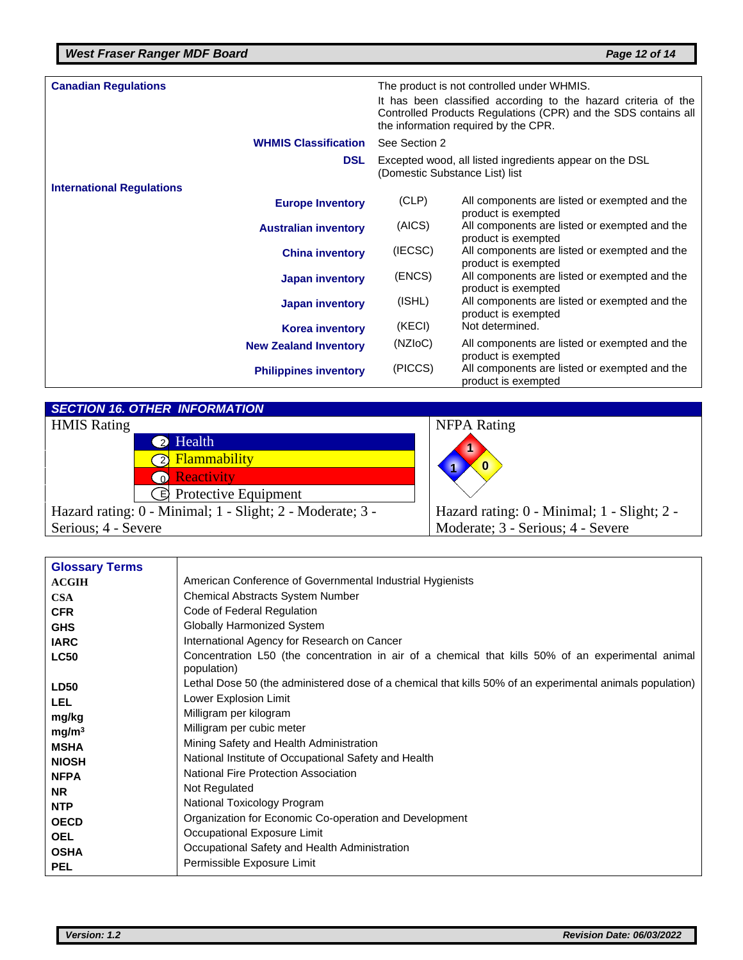| <b>Canadian Regulations</b>      |                         |                                                                                                                                                                          | The product is not controlled under WHMIS.                           |  |
|----------------------------------|-------------------------|--------------------------------------------------------------------------------------------------------------------------------------------------------------------------|----------------------------------------------------------------------|--|
|                                  |                         | It has been classified according to the hazard criteria of the<br>Controlled Products Regulations (CPR) and the SDS contains all<br>the information required by the CPR. |                                                                      |  |
| <b>WHMIS Classification</b>      |                         | See Section 2                                                                                                                                                            |                                                                      |  |
|                                  | <b>DSL</b>              | Excepted wood, all listed ingredients appear on the DSL<br>(Domestic Substance List) list                                                                                |                                                                      |  |
| <b>International Regulations</b> |                         |                                                                                                                                                                          |                                                                      |  |
|                                  | <b>Europe Inventory</b> | (CLP)                                                                                                                                                                    | All components are listed or exempted and the                        |  |
|                                  |                         | (AICS)                                                                                                                                                                   | product is exempted<br>All components are listed or exempted and the |  |
| <b>Australian inventory</b>      |                         |                                                                                                                                                                          | product is exempted                                                  |  |
|                                  | <b>China inventory</b>  | (IECSC)                                                                                                                                                                  | All components are listed or exempted and the<br>product is exempted |  |
|                                  | <b>Japan inventory</b>  | (ENCS)                                                                                                                                                                   | All components are listed or exempted and the<br>product is exempted |  |
|                                  | <b>Japan inventory</b>  | (ISHL)                                                                                                                                                                   | All components are listed or exempted and the<br>product is exempted |  |
|                                  | <b>Korea inventory</b>  | (KECI)                                                                                                                                                                   | Not determined.                                                      |  |
| <b>New Zealand Inventory</b>     |                         | (NZI <sub>O</sub> C)                                                                                                                                                     | All components are listed or exempted and the<br>product is exempted |  |
| <b>Philippines inventory</b>     |                         | (PICCS)                                                                                                                                                                  | All components are listed or exempted and the<br>product is exempted |  |

*SECTION 16. OTHER INFORMATION* HMIS Rating NFPA Rating **2** Health 2 Flammability **Reactivity** B Protective Equipment Hazard rating: 0 - Minimal; 1 - Slight; 2 - Moderate; 3 - Serious; 4 - Severe Hazard rating: 0 - Minimal; 1 - Slight; 2 - Moderate; 3 - Serious; 4 - Severe **1 1 0**

| <b>Glossary Terms</b> |                                                                                                                   |
|-----------------------|-------------------------------------------------------------------------------------------------------------------|
| <b>ACGIH</b>          | American Conference of Governmental Industrial Hygienists                                                         |
| <b>CSA</b>            | <b>Chemical Abstracts System Number</b>                                                                           |
| <b>CFR</b>            | Code of Federal Regulation                                                                                        |
| <b>GHS</b>            | Globally Harmonized System                                                                                        |
| <b>IARC</b>           | International Agency for Research on Cancer                                                                       |
| <b>LC50</b>           | Concentration L50 (the concentration in air of a chemical that kills 50% of an experimental animal<br>population) |
| <b>LD50</b>           | Lethal Dose 50 (the administered dose of a chemical that kills 50% of an experimental animals population)         |
| <b>LEL</b>            | Lower Explosion Limit                                                                                             |
| mg/kg                 | Milligram per kilogram                                                                                            |
| mg/m <sup>3</sup>     | Milligram per cubic meter                                                                                         |
| <b>MSHA</b>           | Mining Safety and Health Administration                                                                           |
| <b>NIOSH</b>          | National Institute of Occupational Safety and Health                                                              |
| <b>NFPA</b>           | <b>National Fire Protection Association</b>                                                                       |
| <b>NR</b>             | Not Regulated                                                                                                     |
| <b>NTP</b>            | National Toxicology Program                                                                                       |
| <b>OECD</b>           | Organization for Economic Co-operation and Development                                                            |
| <b>OEL</b>            | Occupational Exposure Limit                                                                                       |
| <b>OSHA</b>           | Occupational Safety and Health Administration                                                                     |
| <b>PEL</b>            | Permissible Exposure Limit                                                                                        |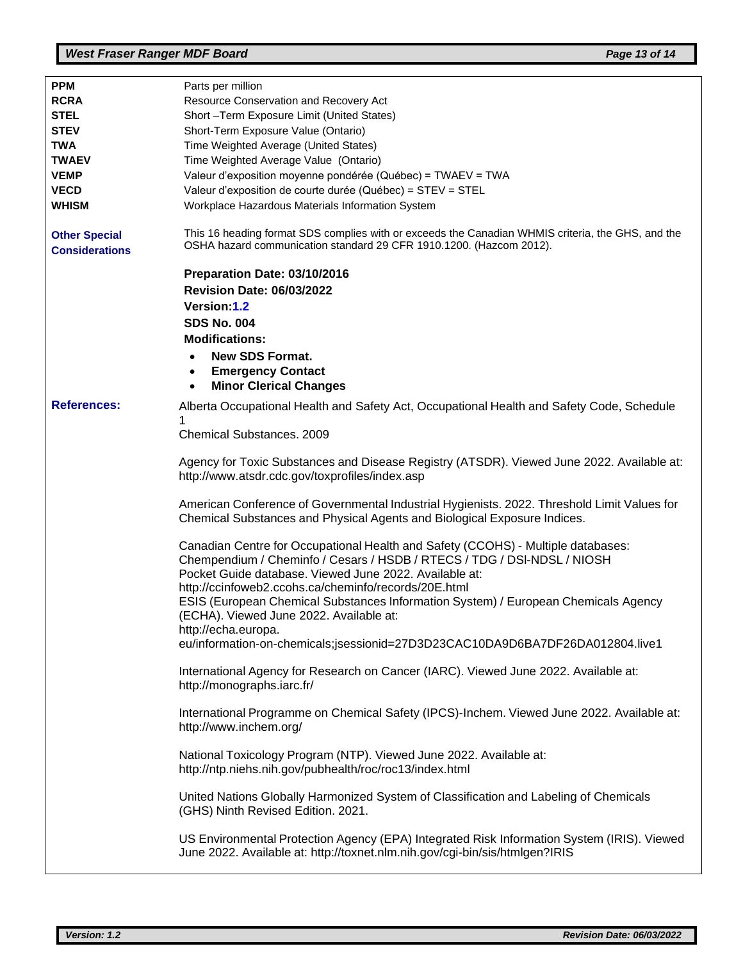| <b>PPM</b>                                    | Parts per million                                                                                                                                                                                                                                                             |
|-----------------------------------------------|-------------------------------------------------------------------------------------------------------------------------------------------------------------------------------------------------------------------------------------------------------------------------------|
| <b>RCRA</b>                                   | Resource Conservation and Recovery Act                                                                                                                                                                                                                                        |
| <b>STEL</b>                                   | Short-Term Exposure Limit (United States)                                                                                                                                                                                                                                     |
|                                               |                                                                                                                                                                                                                                                                               |
| <b>STEV</b>                                   | Short-Term Exposure Value (Ontario)                                                                                                                                                                                                                                           |
| <b>TWA</b>                                    | Time Weighted Average (United States)                                                                                                                                                                                                                                         |
| <b>TWAEV</b>                                  | Time Weighted Average Value (Ontario)                                                                                                                                                                                                                                         |
| <b>VEMP</b>                                   | Valeur d'exposition moyenne pondérée (Québec) = TWAEV = TWA                                                                                                                                                                                                                   |
| <b>VECD</b>                                   | Valeur d'exposition de courte durée (Québec) = STEV = STEL                                                                                                                                                                                                                    |
| <b>WHISM</b>                                  | Workplace Hazardous Materials Information System                                                                                                                                                                                                                              |
|                                               |                                                                                                                                                                                                                                                                               |
| <b>Other Special</b><br><b>Considerations</b> | This 16 heading format SDS complies with or exceeds the Canadian WHMIS criteria, the GHS, and the<br>OSHA hazard communication standard 29 CFR 1910.1200. (Hazcom 2012).                                                                                                      |
|                                               | Preparation Date: 03/10/2016<br><b>Revision Date: 06/03/2022</b><br>Version:1.2<br><b>SDS No. 004</b>                                                                                                                                                                         |
|                                               |                                                                                                                                                                                                                                                                               |
|                                               | <b>Modifications:</b>                                                                                                                                                                                                                                                         |
|                                               | <b>New SDS Format.</b>                                                                                                                                                                                                                                                        |
|                                               | <b>Emergency Contact</b><br>$\bullet$                                                                                                                                                                                                                                         |
|                                               | <b>Minor Clerical Changes</b>                                                                                                                                                                                                                                                 |
| <b>References:</b>                            | Alberta Occupational Health and Safety Act, Occupational Health and Safety Code, Schedule                                                                                                                                                                                     |
|                                               |                                                                                                                                                                                                                                                                               |
|                                               | <b>Chemical Substances. 2009</b>                                                                                                                                                                                                                                              |
|                                               | Agency for Toxic Substances and Disease Registry (ATSDR). Viewed June 2022. Available at:<br>http://www.atsdr.cdc.gov/toxprofiles/index.asp                                                                                                                                   |
|                                               | American Conference of Governmental Industrial Hygienists. 2022. Threshold Limit Values for<br>Chemical Substances and Physical Agents and Biological Exposure Indices.                                                                                                       |
|                                               | Canadian Centre for Occupational Health and Safety (CCOHS) - Multiple databases:<br>Chempendium / Cheminfo / Cesars / HSDB / RTECS / TDG / DSI-NDSL / NIOSH<br>Pocket Guide database. Viewed June 2022. Available at:<br>http://ccinfoweb2.ccohs.ca/cheminfo/records/20E.html |
|                                               | ESIS (European Chemical Substances Information System) / European Chemicals Agency<br>(ECHA). Viewed June 2022. Available at:<br>http://echa.europa.                                                                                                                          |
|                                               | eu/information-on-chemicals;jsessionid=27D3D23CAC10DA9D6BA7DF26DA012804.live1                                                                                                                                                                                                 |
|                                               | International Agency for Research on Cancer (IARC). Viewed June 2022. Available at:<br>http://monographs.iarc.fr/                                                                                                                                                             |
|                                               | International Programme on Chemical Safety (IPCS)-Inchem. Viewed June 2022. Available at:<br>http://www.inchem.org/                                                                                                                                                           |
|                                               | National Toxicology Program (NTP). Viewed June 2022. Available at:<br>http://ntp.niehs.nih.gov/pubhealth/roc/roc13/index.html                                                                                                                                                 |
|                                               | United Nations Globally Harmonized System of Classification and Labeling of Chemicals<br>(GHS) Ninth Revised Edition. 2021.                                                                                                                                                   |
|                                               | US Environmental Protection Agency (EPA) Integrated Risk Information System (IRIS). Viewed<br>June 2022. Available at: http://toxnet.nlm.nih.gov/cgi-bin/sis/htmlgen?IRIS                                                                                                     |